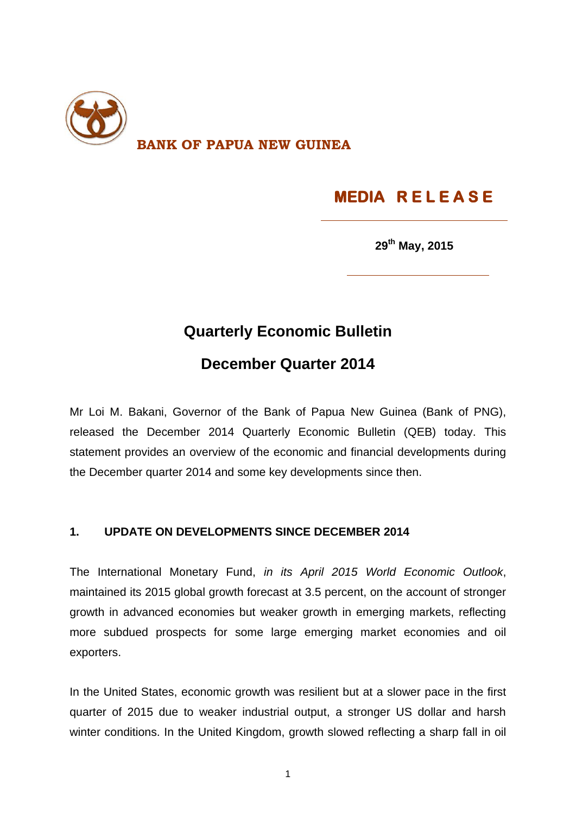

# **MEDIA R E L E A S E**

**29 th May, 2015**

## **Quarterly Economic Bulletin**

### **December Quarter 2014**

Mr Loi M. Bakani, Governor of the Bank of Papua New Guinea (Bank of PNG), released the December 2014 Quarterly Economic Bulletin (QEB) today. This statement provides an overview of the economic and financial developments during the December quarter 2014 and some key developments since then.

#### **1. UPDATE ON DEVELOPMENTS SINCE DECEMBER 2014**

The International Monetary Fund, *in its April 2015 World Economic Outlook*, maintained its 2015 global growth forecast at 3.5 percent, on the account of stronger growth in advanced economies but weaker growth in emerging markets, reflecting more subdued prospects for some large emerging market economies and oil exporters.

In the United States, economic growth was resilient but at a slower pace in the first quarter of 2015 due to weaker industrial output, a stronger US dollar and harsh winter conditions. In the United Kingdom, growth slowed reflecting a sharp fall in oil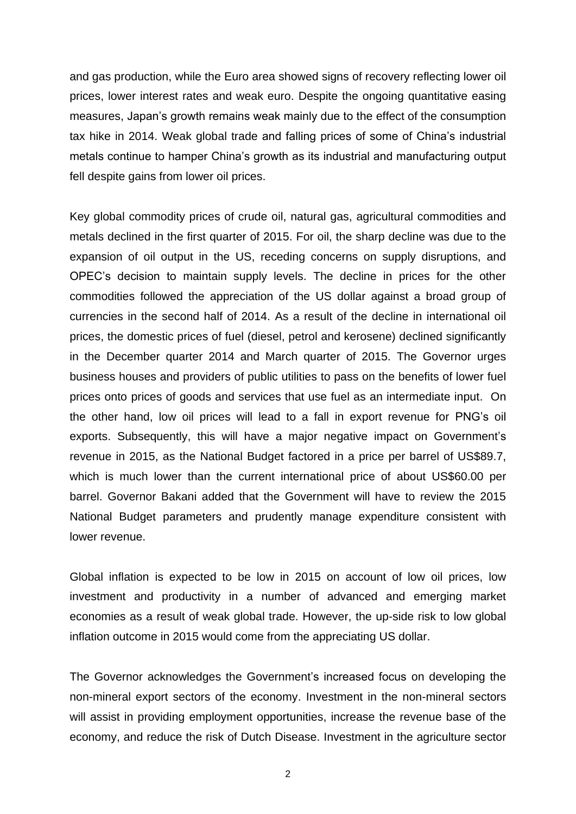and gas production, while the Euro area showed signs of recovery reflecting lower oil prices, lower interest rates and weak euro. Despite the ongoing quantitative easing measures, Japan's growth remains weak mainly due to the effect of the consumption tax hike in 2014. Weak global trade and falling prices of some of China's industrial metals continue to hamper China's growth as its industrial and manufacturing output fell despite gains from lower oil prices.

Key global commodity prices of crude oil, natural gas, agricultural commodities and metals declined in the first quarter of 2015. For oil, the sharp decline was due to the expansion of oil output in the US, receding concerns on supply disruptions, and OPEC's decision to maintain supply levels. The decline in prices for the other commodities followed the appreciation of the US dollar against a broad group of currencies in the second half of 2014. As a result of the decline in international oil prices, the domestic prices of fuel (diesel, petrol and kerosene) declined significantly in the December quarter 2014 and March quarter of 2015. The Governor urges business houses and providers of public utilities to pass on the benefits of lower fuel prices onto prices of goods and services that use fuel as an intermediate input. On the other hand, low oil prices will lead to a fall in export revenue for PNG's oil exports. Subsequently, this will have a major negative impact on Government's revenue in 2015, as the National Budget factored in a price per barrel of US\$89.7, which is much lower than the current international price of about US\$60.00 per barrel. Governor Bakani added that the Government will have to review the 2015 National Budget parameters and prudently manage expenditure consistent with lower revenue.

Global inflation is expected to be low in 2015 on account of low oil prices, low investment and productivity in a number of advanced and emerging market economies as a result of weak global trade. However, the up-side risk to low global inflation outcome in 2015 would come from the appreciating US dollar.

The Governor acknowledges the Government's increased focus on developing the non-mineral export sectors of the economy. Investment in the non-mineral sectors will assist in providing employment opportunities, increase the revenue base of the economy, and reduce the risk of Dutch Disease. Investment in the agriculture sector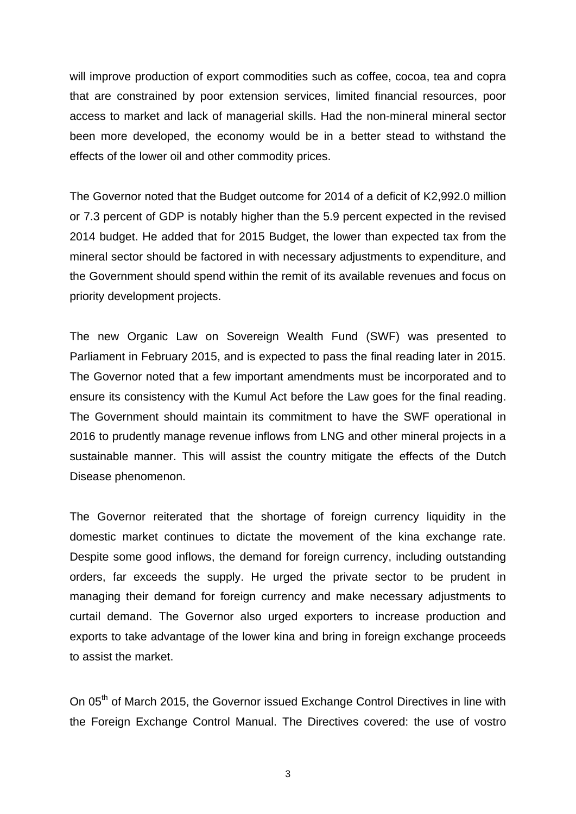will improve production of export commodities such as coffee, cocoa, tea and copra that are constrained by poor extension services, limited financial resources, poor access to market and lack of managerial skills. Had the non-mineral mineral sector been more developed, the economy would be in a better stead to withstand the effects of the lower oil and other commodity prices.

The Governor noted that the Budget outcome for 2014 of a deficit of K2,992.0 million or 7.3 percent of GDP is notably higher than the 5.9 percent expected in the revised 2014 budget. He added that for 2015 Budget, the lower than expected tax from the mineral sector should be factored in with necessary adjustments to expenditure, and the Government should spend within the remit of its available revenues and focus on priority development projects.

The new Organic Law on Sovereign Wealth Fund (SWF) was presented to Parliament in February 2015, and is expected to pass the final reading later in 2015. The Governor noted that a few important amendments must be incorporated and to ensure its consistency with the Kumul Act before the Law goes for the final reading. The Government should maintain its commitment to have the SWF operational in 2016 to prudently manage revenue inflows from LNG and other mineral projects in a sustainable manner. This will assist the country mitigate the effects of the Dutch Disease phenomenon.

The Governor reiterated that the shortage of foreign currency liquidity in the domestic market continues to dictate the movement of the kina exchange rate. Despite some good inflows, the demand for foreign currency, including outstanding orders, far exceeds the supply. He urged the private sector to be prudent in managing their demand for foreign currency and make necessary adjustments to curtail demand. The Governor also urged exporters to increase production and exports to take advantage of the lower kina and bring in foreign exchange proceeds to assist the market.

On 05<sup>th</sup> of March 2015, the Governor issued Exchange Control Directives in line with the Foreign Exchange Control Manual. The Directives covered: the use of vostro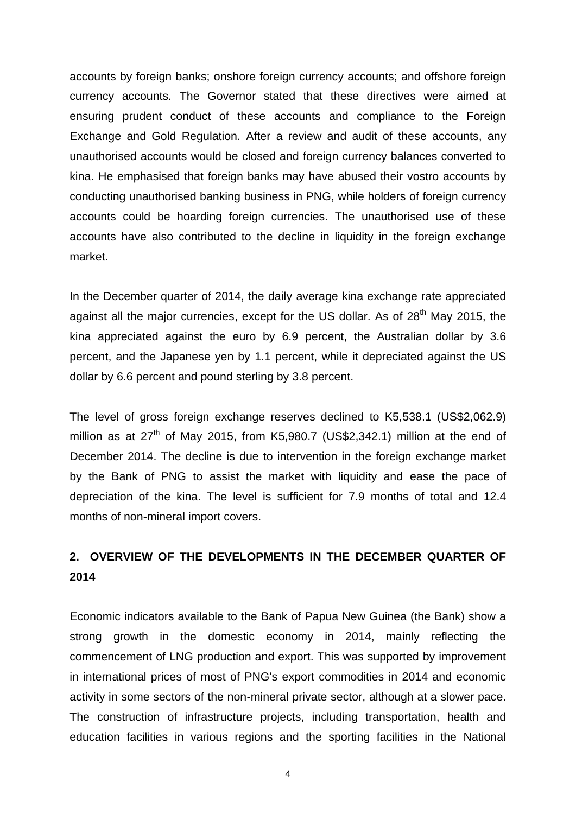accounts by foreign banks; onshore foreign currency accounts; and offshore foreign currency accounts. The Governor stated that these directives were aimed at ensuring prudent conduct of these accounts and compliance to the Foreign Exchange and Gold Regulation. After a review and audit of these accounts, any unauthorised accounts would be closed and foreign currency balances converted to kina. He emphasised that foreign banks may have abused their vostro accounts by conducting unauthorised banking business in PNG, while holders of foreign currency accounts could be hoarding foreign currencies. The unauthorised use of these accounts have also contributed to the decline in liquidity in the foreign exchange market.

In the December quarter of 2014, the daily average kina exchange rate appreciated against all the major currencies, except for the US dollar. As of 28<sup>th</sup> May 2015, the kina appreciated against the euro by 6.9 percent, the Australian dollar by 3.6 percent, and the Japanese yen by 1.1 percent, while it depreciated against the US dollar by 6.6 percent and pound sterling by 3.8 percent.

The level of gross foreign exchange reserves declined to K5,538.1 (US\$2,062.9) million as at  $27<sup>th</sup>$  of May 2015, from K5,980.7 (US\$2,342.1) million at the end of December 2014. The decline is due to intervention in the foreign exchange market by the Bank of PNG to assist the market with liquidity and ease the pace of depreciation of the kina. The level is sufficient for 7.9 months of total and 12.4 months of non-mineral import covers.

#### **2. OVERVIEW OF THE DEVELOPMENTS IN THE DECEMBER QUARTER OF 2014**

Economic indicators available to the Bank of Papua New Guinea (the Bank) show a strong growth in the domestic economy in 2014, mainly reflecting the commencement of LNG production and export. This was supported by improvement in international prices of most of PNG's export commodities in 2014 and economic activity in some sectors of the non-mineral private sector, although at a slower pace. The construction of infrastructure projects, including transportation, health and education facilities in various regions and the sporting facilities in the National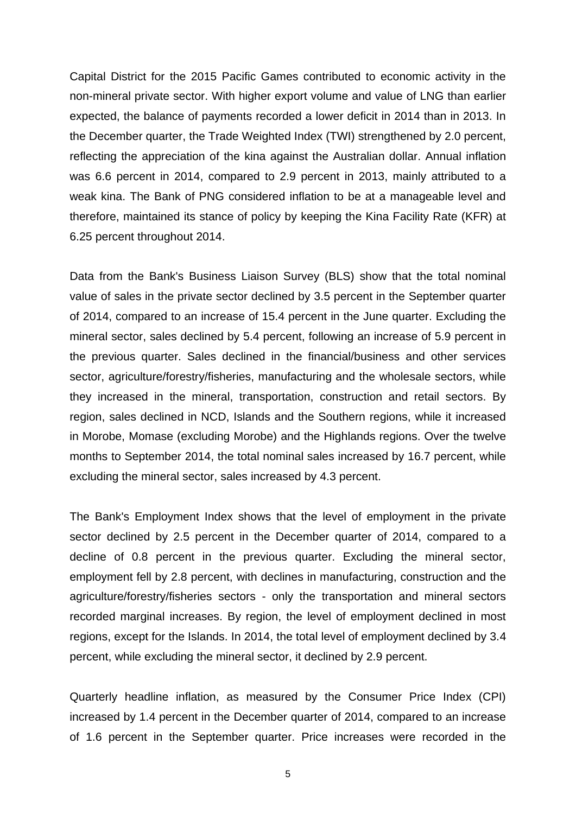Capital District for the 2015 Pacific Games contributed to economic activity in the non-mineral private sector. With higher export volume and value of LNG than earlier expected, the balance of payments recorded a lower deficit in 2014 than in 2013. In the December quarter, the Trade Weighted Index (TWI) strengthened by 2.0 percent, reflecting the appreciation of the kina against the Australian dollar. Annual inflation was 6.6 percent in 2014, compared to 2.9 percent in 2013, mainly attributed to a weak kina. The Bank of PNG considered inflation to be at a manageable level and therefore, maintained its stance of policy by keeping the Kina Facility Rate (KFR) at 6.25 percent throughout 2014.

Data from the Bank's Business Liaison Survey (BLS) show that the total nominal value of sales in the private sector declined by 3.5 percent in the September quarter of 2014, compared to an increase of 15.4 percent in the June quarter. Excluding the mineral sector, sales declined by 5.4 percent, following an increase of 5.9 percent in the previous quarter. Sales declined in the financial/business and other services sector, agriculture/forestry/fisheries, manufacturing and the wholesale sectors, while they increased in the mineral, transportation, construction and retail sectors. By region, sales declined in NCD, Islands and the Southern regions, while it increased in Morobe, Momase (excluding Morobe) and the Highlands regions. Over the twelve months to September 2014, the total nominal sales increased by 16.7 percent, while excluding the mineral sector, sales increased by 4.3 percent.

The Bank's Employment Index shows that the level of employment in the private sector declined by 2.5 percent in the December quarter of 2014, compared to a decline of 0.8 percent in the previous quarter. Excluding the mineral sector, employment fell by 2.8 percent, with declines in manufacturing, construction and the agriculture/forestry/fisheries sectors - only the transportation and mineral sectors recorded marginal increases. By region, the level of employment declined in most regions, except for the Islands. In 2014, the total level of employment declined by 3.4 percent, while excluding the mineral sector, it declined by 2.9 percent.

Quarterly headline inflation, as measured by the Consumer Price Index (CPI) increased by 1.4 percent in the December quarter of 2014, compared to an increase of 1.6 percent in the September quarter. Price increases were recorded in the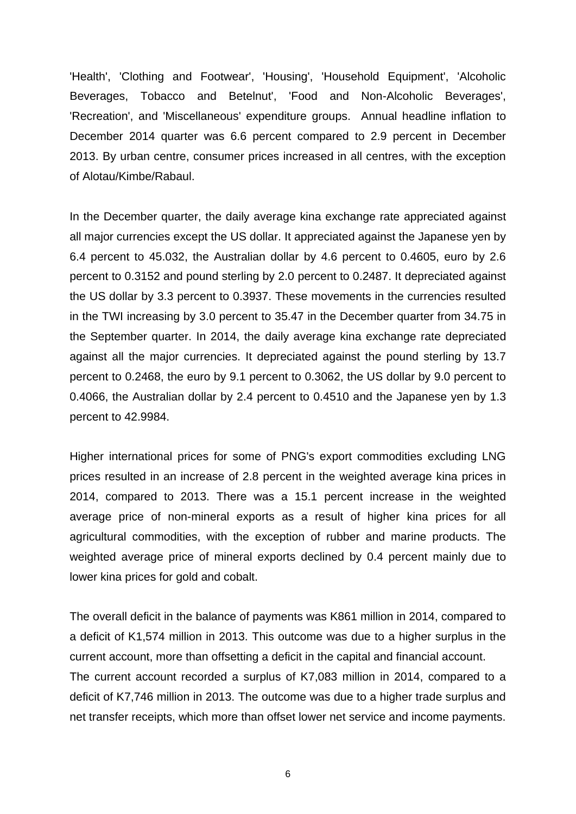'Health', 'Clothing and Footwear', 'Housing', 'Household Equipment', 'Alcoholic Beverages, Tobacco and Betelnut', 'Food and Non-Alcoholic Beverages', 'Recreation', and 'Miscellaneous' expenditure groups. Annual headline inflation to December 2014 quarter was 6.6 percent compared to 2.9 percent in December 2013. By urban centre, consumer prices increased in all centres, with the exception of Alotau/Kimbe/Rabaul.

In the December quarter, the daily average kina exchange rate appreciated against all major currencies except the US dollar. It appreciated against the Japanese yen by 6.4 percent to 45.032, the Australian dollar by 4.6 percent to 0.4605, euro by 2.6 percent to 0.3152 and pound sterling by 2.0 percent to 0.2487. It depreciated against the US dollar by 3.3 percent to 0.3937. These movements in the currencies resulted in the TWI increasing by 3.0 percent to 35.47 in the December quarter from 34.75 in the September quarter. In 2014, the daily average kina exchange rate depreciated against all the major currencies. It depreciated against the pound sterling by 13.7 percent to 0.2468, the euro by 9.1 percent to 0.3062, the US dollar by 9.0 percent to 0.4066, the Australian dollar by 2.4 percent to 0.4510 and the Japanese yen by 1.3 percent to 42.9984.

Higher international prices for some of PNG's export commodities excluding LNG prices resulted in an increase of 2.8 percent in the weighted average kina prices in 2014, compared to 2013. There was a 15.1 percent increase in the weighted average price of non-mineral exports as a result of higher kina prices for all agricultural commodities, with the exception of rubber and marine products. The weighted average price of mineral exports declined by 0.4 percent mainly due to lower kina prices for gold and cobalt.

The overall deficit in the balance of payments was K861 million in 2014, compared to a deficit of K1,574 million in 2013. This outcome was due to a higher surplus in the current account, more than offsetting a deficit in the capital and financial account. The current account recorded a surplus of K7,083 million in 2014, compared to a deficit of K7,746 million in 2013. The outcome was due to a higher trade surplus and net transfer receipts, which more than offset lower net service and income payments.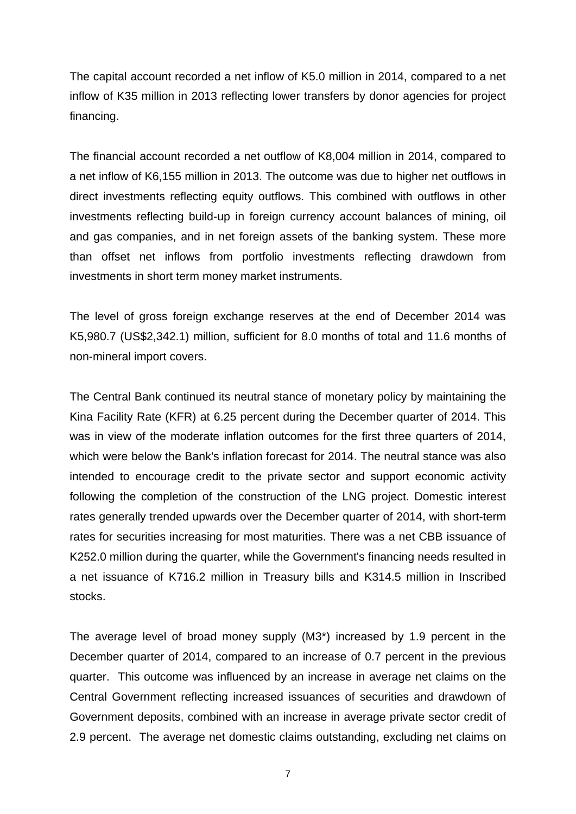The capital account recorded a net inflow of K5.0 million in 2014, compared to a net inflow of K35 million in 2013 reflecting lower transfers by donor agencies for project financing.

The financial account recorded a net outflow of K8,004 million in 2014, compared to a net inflow of K6,155 million in 2013. The outcome was due to higher net outflows in direct investments reflecting equity outflows. This combined with outflows in other investments reflecting build-up in foreign currency account balances of mining, oil and gas companies, and in net foreign assets of the banking system. These more than offset net inflows from portfolio investments reflecting drawdown from investments in short term money market instruments.

The level of gross foreign exchange reserves at the end of December 2014 was K5,980.7 (US\$2,342.1) million, sufficient for 8.0 months of total and 11.6 months of non-mineral import covers.

The Central Bank continued its neutral stance of monetary policy by maintaining the Kina Facility Rate (KFR) at 6.25 percent during the December quarter of 2014. This was in view of the moderate inflation outcomes for the first three quarters of 2014, which were below the Bank's inflation forecast for 2014. The neutral stance was also intended to encourage credit to the private sector and support economic activity following the completion of the construction of the LNG project. Domestic interest rates generally trended upwards over the December quarter of 2014, with short-term rates for securities increasing for most maturities. There was a net CBB issuance of K252.0 million during the quarter, while the Government's financing needs resulted in a net issuance of K716.2 million in Treasury bills and K314.5 million in Inscribed stocks.

The average level of broad money supply (M3\*) increased by 1.9 percent in the December quarter of 2014, compared to an increase of 0.7 percent in the previous quarter. This outcome was influenced by an increase in average net claims on the Central Government reflecting increased issuances of securities and drawdown of Government deposits, combined with an increase in average private sector credit of 2.9 percent. The average net domestic claims outstanding, excluding net claims on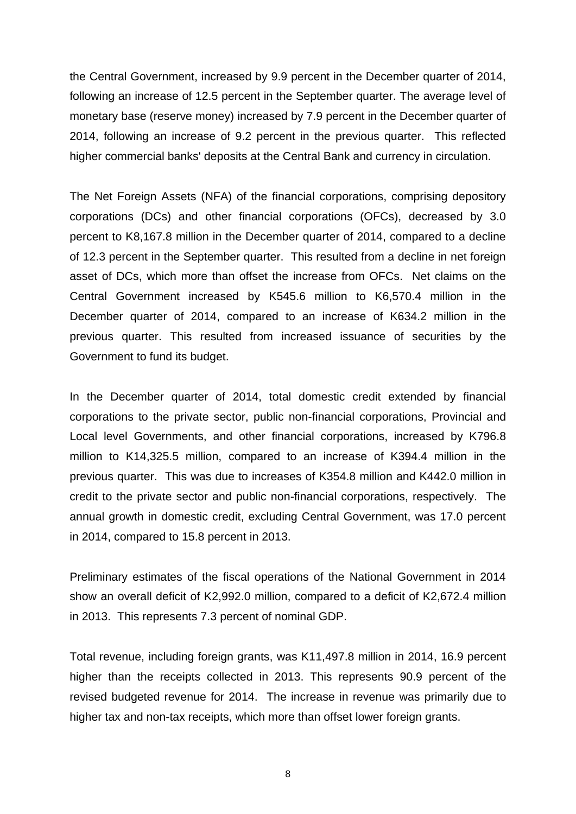the Central Government, increased by 9.9 percent in the December quarter of 2014, following an increase of 12.5 percent in the September quarter. The average level of monetary base (reserve money) increased by 7.9 percent in the December quarter of 2014, following an increase of 9.2 percent in the previous quarter. This reflected higher commercial banks' deposits at the Central Bank and currency in circulation.

The Net Foreign Assets (NFA) of the financial corporations, comprising depository corporations (DCs) and other financial corporations (OFCs), decreased by 3.0 percent to K8,167.8 million in the December quarter of 2014, compared to a decline of 12.3 percent in the September quarter. This resulted from a decline in net foreign asset of DCs, which more than offset the increase from OFCs. Net claims on the Central Government increased by K545.6 million to K6,570.4 million in the December quarter of 2014, compared to an increase of K634.2 million in the previous quarter. This resulted from increased issuance of securities by the Government to fund its budget.

In the December quarter of 2014, total domestic credit extended by financial corporations to the private sector, public non-financial corporations, Provincial and Local level Governments, and other financial corporations, increased by K796.8 million to K14,325.5 million, compared to an increase of K394.4 million in the previous quarter. This was due to increases of K354.8 million and K442.0 million in credit to the private sector and public non-financial corporations, respectively. The annual growth in domestic credit, excluding Central Government, was 17.0 percent in 2014, compared to 15.8 percent in 2013.

Preliminary estimates of the fiscal operations of the National Government in 2014 show an overall deficit of K2,992.0 million, compared to a deficit of K2,672.4 million in 2013. This represents 7.3 percent of nominal GDP.

Total revenue, including foreign grants, was K11,497.8 million in 2014, 16.9 percent higher than the receipts collected in 2013. This represents 90.9 percent of the revised budgeted revenue for 2014. The increase in revenue was primarily due to higher tax and non-tax receipts, which more than offset lower foreign grants.